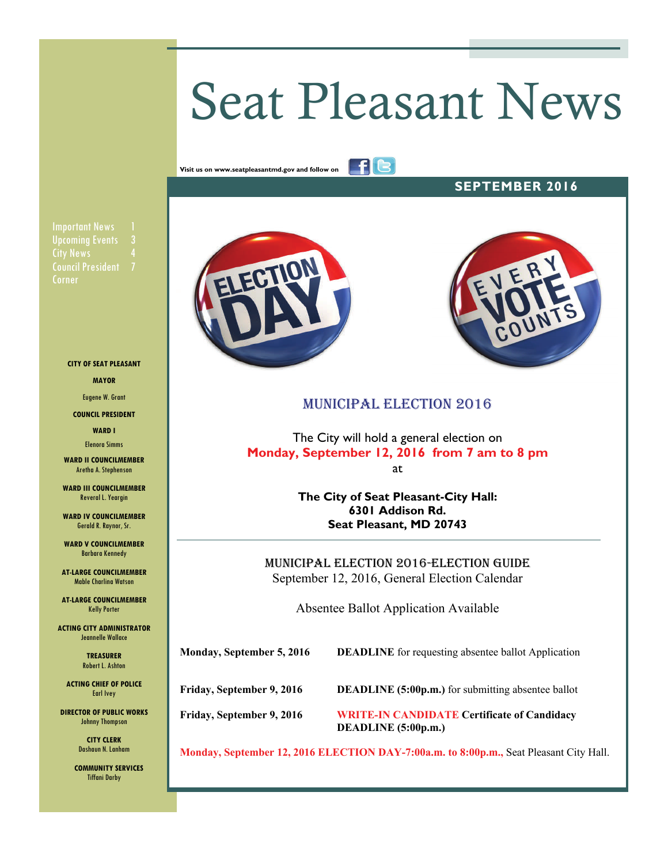# Seat Pleasant News

fle

**Visit us on www.seatpleasantmd.gov and follow on** 

**SEPTEMBER 2016** 

**Important News City News** Council President 7 Corner

**CITY OF SEAT PLEASANT** 

**MAYOR** 

Eugene W. Grant

**COUNCIL PRESIDENT** 

**WARD I**  Elenora Simms

**WARD II COUNCILMEMBER**  Aretha A. Stephenson

**WARD III COUNCILMEMBER**  Reveral L. Yeargin

**WARD IV COUNCILMEMBER**  Gerald R. Raynor, Sr.

**WARD V COUNCILMEMBER**  Barbara Kennedy

**AT-LARGE COUNCILMEMBER**  Mable Charlina Watson

**AT-LARGE COUNCILMEMBER**  Kelly Porter

**ACTING CITY ADMINISTRATOR**  Jeannelle Wallace

> **TREASURER**  Robert L. Ashton

**ACTING CHIEF OF POLICE**  Earl Ivey

**DIRECTOR OF PUBLIC WORKS**  Johnny Thompson

> **CITY CLERK**  Dashaun N. Lanham

 **COMMUNITY SERVICES**  Tiffani Darby





# MUNICIPAL ELECTION 2016

The City will hold a general election on **Monday, September 12, 2016 from 7 am to 8 pm**  at

> **The City of Seat Pleasant-City Hall: 6301 Addison Rd. Seat Pleasant, MD 20743**

MUNICIPAL ELECTION 2016-ELECTION GUIDE September 12, 2016, General Election Calendar

Absentee Ballot Application Available

**Monday, September 5, 2016 DEADLINE** for requesting absentee ballot Application

**Friday, September 9, 2016** DEADLINE (5:00p.m.) for submitting absentee ballot

**Friday, September 9, 2016 WRITE-IN CANDIDATE Certificate of Candidacy DEADLINE (5:00p.m.)** 

**Monday, September 12, 2016 ELECTION DAY-7:00a.m. to 8:00p.m.,** Seat Pleasant City Hall.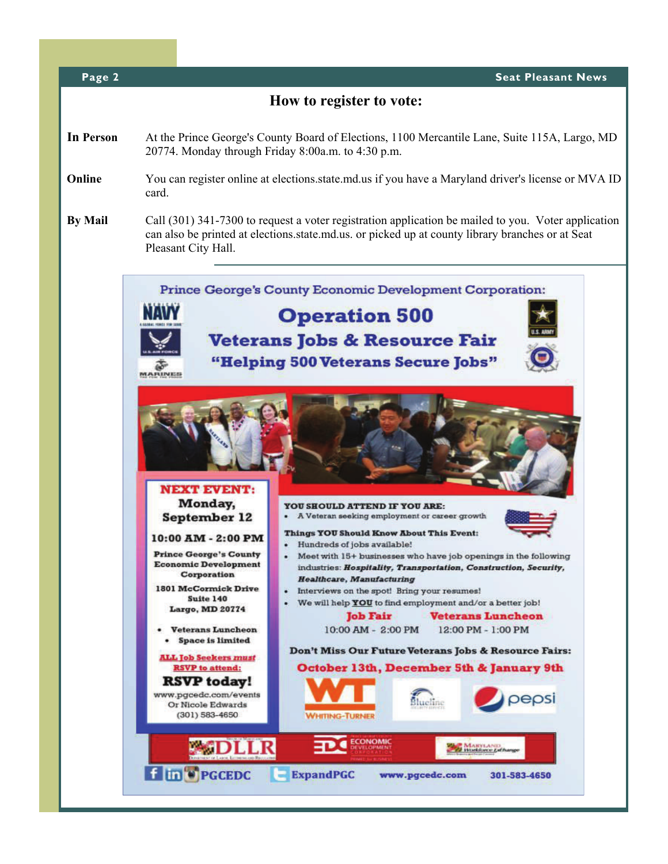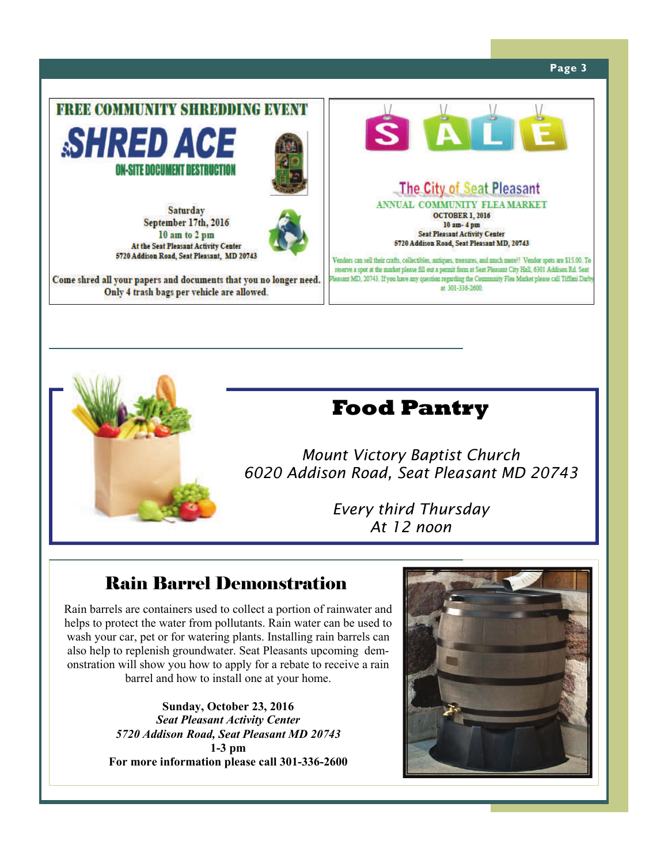#### **Page 3**





# **Food Pantry**

*Mount Victory Baptist Church 6020 Addison Road, Seat Pleasant MD 20743* 

> *Every third Thursday At 12 noon*

# Rain Barrel Demonstration

Rain barrels are containers used to collect a portion of rainwater and helps to protect the water from pollutants. Rain water can be used to wash your car, pet or for watering plants. Installing rain barrels can also help to replenish groundwater. Seat Pleasants upcoming demonstration will show you how to apply for a rebate to receive a rain barrel and how to install one at your home.

> **Sunday, October 23, 2016**  *Seat Pleasant Activity Center 5720 Addison Road, Seat Pleasant MD 20743*  **1-3 pm For more information please call 301-336-2600**

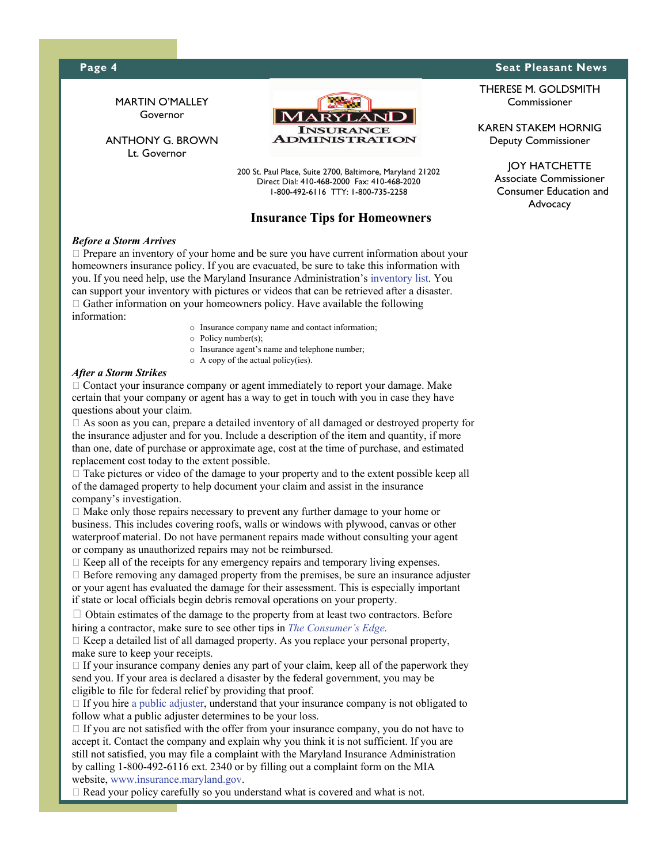#### **Page 4** Seat Pleasant News **Beat Pleasant News Seat Pleasant News**



#### *Before a Storm Arrives*

 $\Box$  Prepare an inventory of your home and be sure you have current information about your homeowners insurance policy. If you are evacuated, be sure to take this information with you. If you need help, use the Maryland Insurance Administration's inventory list. You can support your inventory with pictures or videos that can be retrieved after a disaster.  $\Box$  Gather information on your homeowners policy. Have available the following information:

- o Insurance company name and contact information;
- o Policy number(s);
- o Insurance agent's name and telephone number;
- o A copy of the actual policy(ies).

#### *After a Storm Strikes*

 $\Box$  Contact your insurance company or agent immediately to report your damage. Make certain that your company or agent has a way to get in touch with you in case they have questions about your claim.

 As soon as you can, prepare a detailed inventory of all damaged or destroyed property for the insurance adjuster and for you. Include a description of the item and quantity, if more than one, date of purchase or approximate age, cost at the time of purchase, and estimated replacement cost today to the extent possible.

 $\Box$  Take pictures or video of the damage to your property and to the extent possible keep all of the damaged property to help document your claim and assist in the insurance company's investigation.

 $\Box$  Make only those repairs necessary to prevent any further damage to your home or business. This includes covering roofs, walls or windows with plywood, canvas or other waterproof material. Do not have permanent repairs made without consulting your agent or company as unauthorized repairs may not be reimbursed.

 $\Box$  Keep all of the receipts for any emergency repairs and temporary living expenses.

 $\Box$  Before removing any damaged property from the premises, be sure an insurance adjuster or your agent has evaluated the damage for their assessment. This is especially important if state or local officials begin debris removal operations on your property.

 $\Box$  Obtain estimates of the damage to the property from at least two contractors. Before hiring a contractor, make sure to see other tips in *The Consumer's Edge.*

 $\Box$  Keep a detailed list of all damaged property. As you replace your personal property, make sure to keep your receipts.

 $\Box$  If your insurance company denies any part of your claim, keep all of the paperwork they send you. If your area is declared a disaster by the federal government, you may be eligible to file for federal relief by providing that proof.

 $\Box$  If you hire a public adjuster, understand that your insurance company is not obligated to follow what a public adjuster determines to be your loss.

 $\Box$  If you are not satisfied with the offer from your insurance company, you do not have to accept it. Contact the company and explain why you think it is not sufficient. If you are still not satisfied, you may file a complaint with the Maryland Insurance Administration by calling 1-800-492-6116 ext. 2340 or by filling out a complaint form on the MIA website, www.insurance.maryland.gov.

 $\Box$  Read your policy carefully so you understand what is covered and what is not.

THERESE M. GOLDSMITH Commissioner

KAREN STAKEM HORNIG Deputy Commissioner

> JOY HATCHETTE Associate Commissioner Consumer Education and Advocacy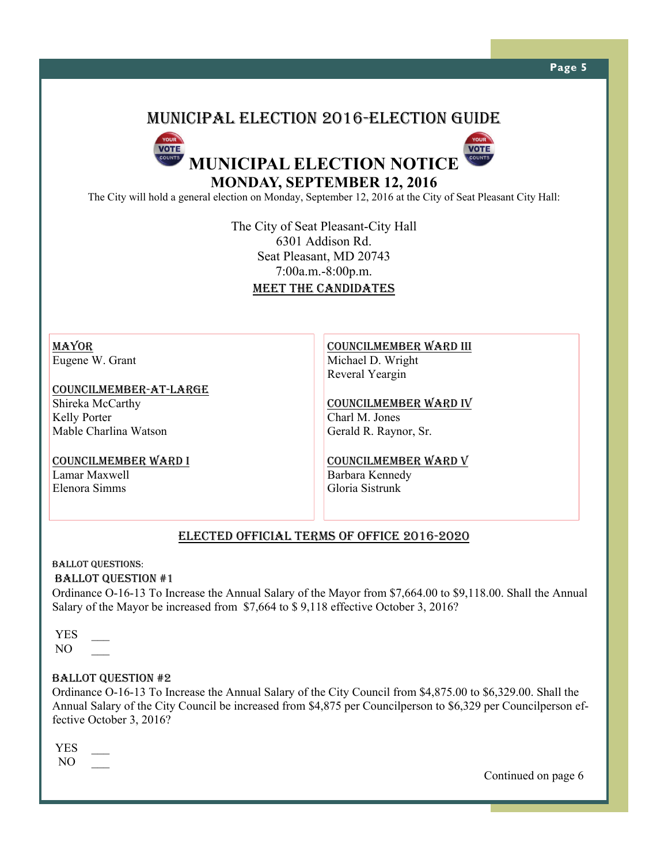# MUNICIPAL ELECTION 2016-ELECTION GUIDE



The City will hold a general election on Monday, September 12, 2016 at the City of Seat Pleasant City Hall:

The City of Seat Pleasant-City Hall 6301 Addison Rd. Seat Pleasant, MD 20743 7:00a.m.-8:00p.m. MEET THE CANDIDATES

MAYOR Eugene W. Grant

COUNCILMEMBER-AT-LARGE Shireka McCarthy Kelly Porter Mable Charlina Watson

COUNCILMEMBER WARD I

Lamar Maxwell Elenora Simms

COUNCILMEMBER WARD III Michael D. Wright Reveral Yeargin

COUNCILMEMBER WARD IV Charl M. Jones Gerald R. Raynor, Sr.

COUNCILMEMBER WARD V Barbara Kennedy Gloria Sistrunk

# ELECTED OFFICIAL TERMS OF OFFICE 2016-2020

#### BALLOT QUESTIONS:

#### BALLOT QUESTION #1

Ordinance O-16-13 To Increase the Annual Salary of the Mayor from \$7,664.00 to \$9,118.00. Shall the Annual Salary of the Mayor be increased from \$7,664 to \$ 9,118 effective October 3, 2016?

 YES \_\_\_  $NO$ 

#### BALLOT QUESTION #2

Ordinance O-16-13 To Increase the Annual Salary of the City Council from \$4,875.00 to \$6,329.00. Shall the Annual Salary of the City Council be increased from \$4,875 per Councilperson to \$6,329 per Councilperson effective October 3, 2016?

 YES \_\_\_  $NO$ 

Continued on page 6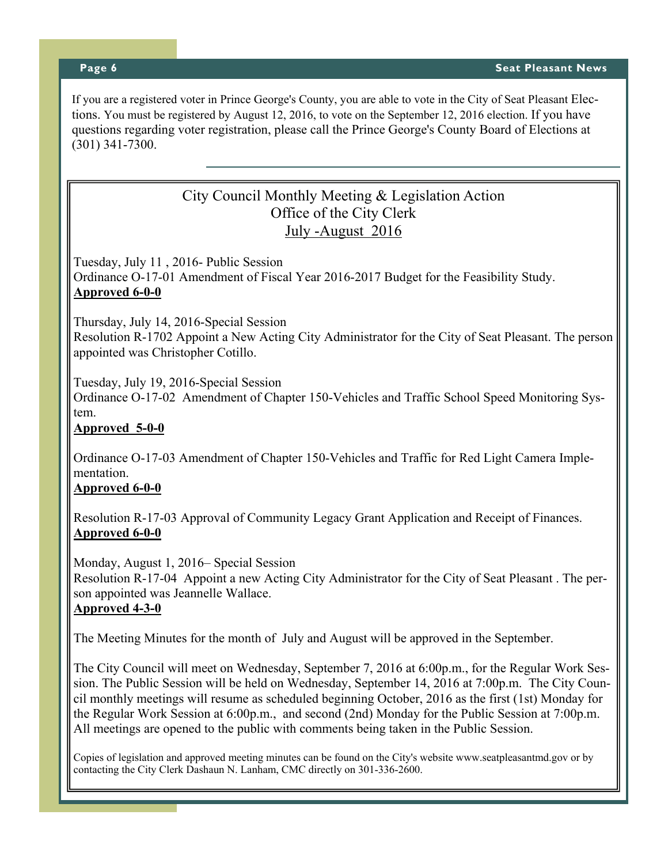If you are a registered voter in Prince George's County, you are able to vote in the City of Seat Pleasant Elections. You must be registered by August 12, 2016, to vote on the September 12, 2016 election. If you have questions regarding voter registration, please call the Prince George's County Board of Elections at (301) 341-7300.

# City Council Monthly Meeting & Legislation Action Office of the City Clerk July -August 2016

Tuesday, July 11 , 2016- Public Session Ordinance O-17-01 Amendment of Fiscal Year 2016-2017 Budget for the Feasibility Study. **Approved 6-0-0**

Thursday, July 14, 2016-Special Session

Resolution R-1702 Appoint a New Acting City Administrator for the City of Seat Pleasant. The person appointed was Christopher Cotillo.

Tuesday, July 19, 2016-Special Session

Ordinance O-17-02 Amendment of Chapter 150-Vehicles and Traffic School Speed Monitoring System.

**Approved 5-0-0**

Ordinance O-17-03 Amendment of Chapter 150-Vehicles and Traffic for Red Light Camera Implementation.

### **Approved 6-0-0**

Resolution R-17-03 Approval of Community Legacy Grant Application and Receipt of Finances. **Approved 6-0-0**

Monday, August 1, 2016– Special Session Resolution R-17-04 Appoint a new Acting City Administrator for the City of Seat Pleasant . The person appointed was Jeannelle Wallace. **Approved 4-3-0**

The Meeting Minutes for the month of July and August will be approved in the September.

The City Council will meet on Wednesday, September 7, 2016 at 6:00p.m., for the Regular Work Session. The Public Session will be held on Wednesday, September 14, 2016 at 7:00p.m. The City Council monthly meetings will resume as scheduled beginning October, 2016 as the first (1st) Monday for the Regular Work Session at 6:00p.m., and second (2nd) Monday for the Public Session at 7:00p.m. All meetings are opened to the public with comments being taken in the Public Session.

Copies of legislation and approved meeting minutes can be found on the City's website www.seatpleasantmd.gov or by contacting the City Clerk Dashaun N. Lanham, CMC directly on 301-336-2600.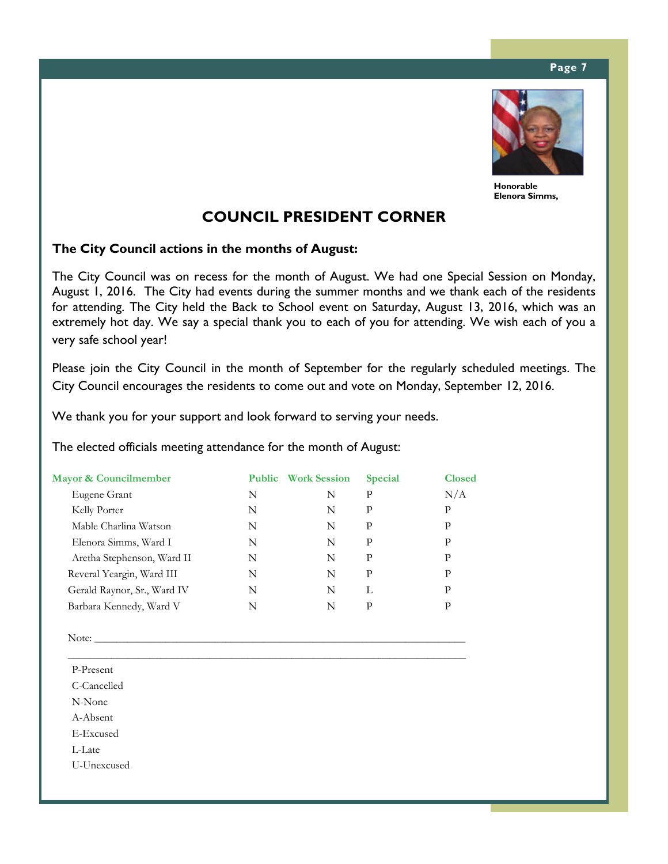#### **Page 7**



**Honorable Elenora Simms,** 

# **COUNCIL PRESIDENT CORNER**

### **The City Council actions in the months of August:**

The City Council was on recess for the month of August. We had one Special Session on Monday, August 1, 2016. The City had events during the summer months and we thank each of the residents for attending. The City held the Back to School event on Saturday, August 13, 2016, which was an extremely hot day. We say a special thank you to each of you for attending. We wish each of you a very safe school year!

Please join the City Council in the month of September for the regularly scheduled meetings. The City Council encourages the residents to come out and vote on Monday, September 12, 2016.

We thank you for your support and look forward to serving your needs.

The elected officials meeting attendance for the month of August:

| Mayor & Councilmember       |   | <b>Public</b> Work Session | <b>Special</b> | <b>Closed</b> |
|-----------------------------|---|----------------------------|----------------|---------------|
| Eugene Grant                | N | N                          | P              | N/A           |
| Kelly Porter                | N | N                          | P              | P             |
| Mable Charlina Watson       | N | N                          | P              | P             |
| Elenora Simms, Ward I       | N | N                          | P              | P             |
| Aretha Stephenson, Ward II  | N | N                          | P              | P             |
| Reveral Yeargin, Ward III   | N | N                          | P              | P             |
| Gerald Raynor, Sr., Ward IV | N | N                          | L              | P             |
| Barbara Kennedy, Ward V     | N | N                          | P              | P             |

\_\_\_\_\_\_\_\_\_\_\_\_\_\_\_\_\_\_\_\_\_\_\_\_\_\_\_\_\_\_\_\_\_\_\_\_\_\_\_\_\_\_\_\_\_\_\_\_\_\_\_\_\_\_\_\_\_\_\_\_\_\_\_\_\_\_\_\_\_\_\_\_\_

Note: \_\_\_\_\_\_\_\_\_\_\_\_\_\_\_\_\_\_\_\_\_\_\_\_\_\_\_\_\_\_\_\_\_\_\_\_\_\_\_\_\_\_\_\_\_\_\_\_\_\_\_\_\_\_\_\_\_\_\_\_\_\_\_\_\_\_\_\_

P-Present

C-Cancelled

N-None

A-Absent

E-Excused

L-Late

U-Unexcused